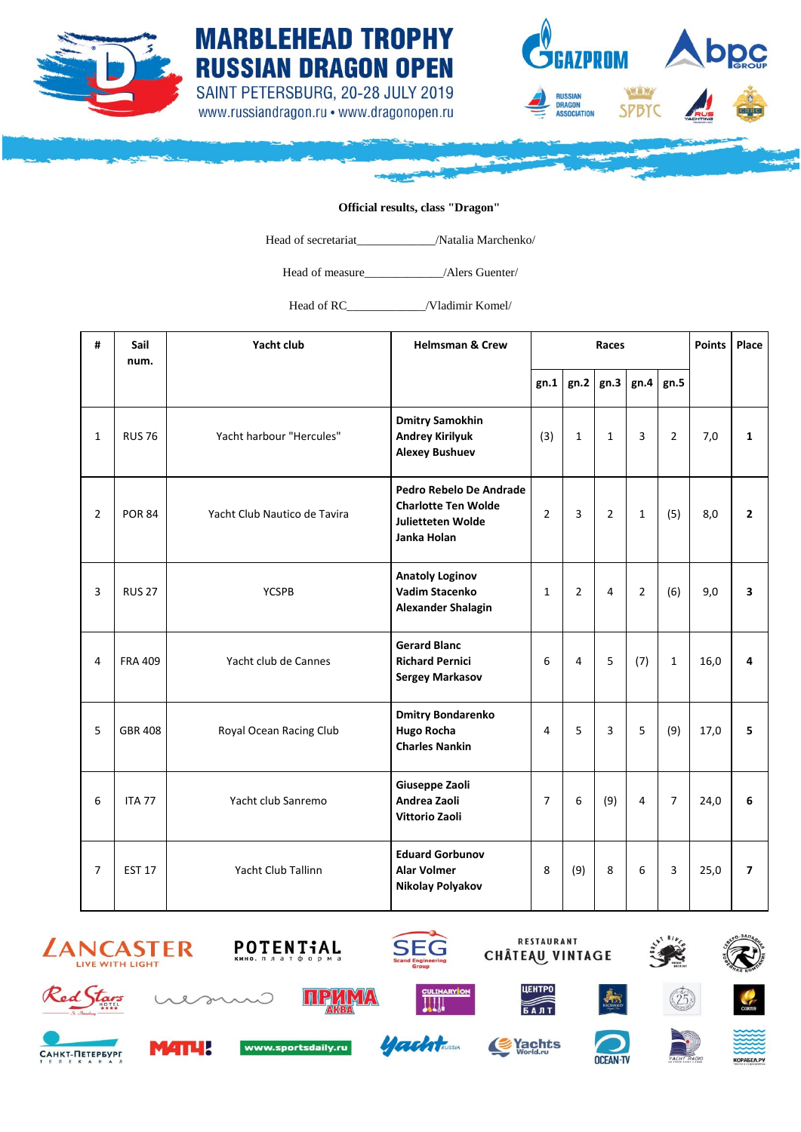





## **Official results, class "Dragon"**

Head of secretariat\_\_\_\_\_\_\_\_\_\_\_\_\_/Natalia Marchenko/

Head of measure\_\_\_\_\_\_\_\_\_\_\_\_\_/Alers Guenter/

Head of RC / Vladimir Komel/

| #              | Sail<br>num.   | Yacht club                   | <b>Helmsman &amp; Crew</b>                                                                       | Races          |                |                |                |                | <b>Points</b> | Place          |
|----------------|----------------|------------------------------|--------------------------------------------------------------------------------------------------|----------------|----------------|----------------|----------------|----------------|---------------|----------------|
|                |                |                              |                                                                                                  | gn.1           | gn.2           | gn.3           | gn.4           | gn.5           |               |                |
| $\mathbf{1}$   | <b>RUS 76</b>  | Yacht harbour "Hercules"     | <b>Dmitry Samokhin</b><br><b>Andrey Kirilyuk</b><br><b>Alexey Bushuev</b>                        | (3)            | $\mathbf{1}$   | $\mathbf{1}$   | 3              | $\overline{2}$ | 7,0           | $\mathbf{1}$   |
| $\overline{2}$ | <b>POR 84</b>  | Yacht Club Nautico de Tavira | Pedro Rebelo De Andrade<br><b>Charlotte Ten Wolde</b><br><b>Julietteten Wolde</b><br>Janka Holan | $\overline{2}$ | 3              | $\overline{2}$ | $\mathbf{1}$   | (5)            | 8,0           | $\overline{2}$ |
| $\overline{3}$ | <b>RUS 27</b>  | <b>YCSPB</b>                 | <b>Anatoly Loginov</b><br>Vadim Stacenko<br><b>Alexander Shalagin</b>                            | $\mathbf{1}$   | $\overline{2}$ | 4              | $\overline{2}$ | (6)            | 9,0           | 3              |
| 4              | <b>FRA 409</b> | Yacht club de Cannes         | <b>Gerard Blanc</b><br><b>Richard Pernici</b><br><b>Sergey Markasov</b>                          | 6              | $\overline{4}$ | 5              | (7)            | $\mathbf{1}$   | 16,0          | 4              |
| 5              | <b>GBR 408</b> | Royal Ocean Racing Club      | <b>Dmitry Bondarenko</b><br><b>Hugo Rocha</b><br><b>Charles Nankin</b>                           | $\overline{4}$ | 5              | 3              | 5              | (9)            | 17,0          | 5              |
| 6              | <b>ITA 77</b>  | Yacht club Sanremo           | Giuseppe Zaoli<br>Andrea Zaoli<br><b>Vittorio Zaoli</b>                                          | $\overline{7}$ | 6              | (9)            | 4              | $\overline{7}$ | 24,0          | 6              |
| $\overline{7}$ | <b>EST 17</b>  | Yacht Club Tallinn           | <b>Eduard Gorbunov</b><br><b>Alar Volmer</b><br>Nikolay Polyakov                                 | 8              | (9)            | 8              | 6              | 3              | 25,0          | $\overline{ }$ |





www.sportsdaily.ru



**ACCORDINATION** 







CAHKT-NETEPBYPE









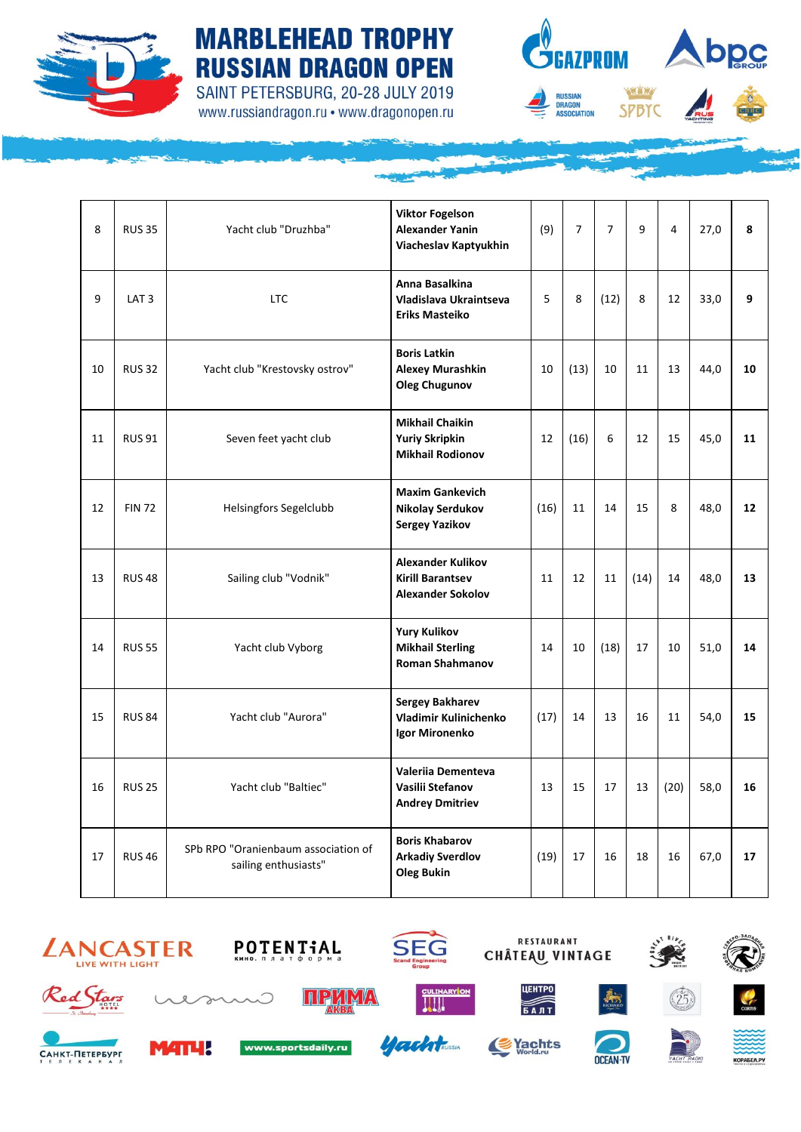

## **MARBLEHEAD TROPHY RUSSIAN DRAGON OPEN** SAINT PETERSBURG, 20-28 JULY 2019

www.russiandragon.ru • www.dragonopen.ru



| 8  | <b>RUS 35</b>    | Yacht club "Druzhba"                                        | <b>Viktor Fogelson</b><br><b>Alexander Yanin</b><br>Viacheslav Kaptyukhin       | (9)  | $\overline{7}$ | $\overline{7}$ | q    | $\overline{4}$ | 27,0 | 8  |
|----|------------------|-------------------------------------------------------------|---------------------------------------------------------------------------------|------|----------------|----------------|------|----------------|------|----|
| 9  | LAT <sub>3</sub> | <b>LTC</b>                                                  | Anna Basalkina<br>Vladislava Ukraintseva<br><b>Eriks Masteiko</b>               | 5    | 8              | (12)           | 8    | 12             | 33,0 | 9  |
| 10 | <b>RUS 32</b>    | Yacht club "Krestovsky ostrov"                              | <b>Boris Latkin</b><br><b>Alexey Murashkin</b><br><b>Oleg Chugunov</b>          | 10   | (13)           | 10             | 11   | 13             | 44,0 | 10 |
| 11 | <b>RUS 91</b>    | Seven feet yacht club                                       | <b>Mikhail Chaikin</b><br><b>Yuriy Skripkin</b><br><b>Mikhail Rodionov</b>      | 12   | (16)           | 6              | 12   | 15             | 45,0 | 11 |
| 12 | <b>FIN 72</b>    | Helsingfors Segelclubb                                      | <b>Maxim Gankevich</b><br>Nikolay Serdukov<br><b>Sergey Yazikov</b>             | (16) | 11             | 14             | 15   | 8              | 48,0 | 12 |
| 13 | <b>RUS 48</b>    | Sailing club "Vodnik"                                       | <b>Alexander Kulikov</b><br><b>Kirill Barantsev</b><br><b>Alexander Sokolov</b> | 11   | 12             | 11             | (14) | 14             | 48,0 | 13 |
| 14 | <b>RUS 55</b>    | Yacht club Vyborg                                           | <b>Yury Kulikov</b><br><b>Mikhail Sterling</b><br><b>Roman Shahmanov</b>        | 14   | 10             | (18)           | 17   | 10             | 51,0 | 14 |
| 15 | <b>RUS 84</b>    | Yacht club "Aurora"                                         | <b>Sergey Bakharev</b><br>Vladimir Kulinichenko<br>Igor Mironenko               | (17) | 14             | 13             | 16   | 11             | 54,0 | 15 |
| 16 | <b>RUS 25</b>    | Yacht club "Baltiec"                                        | Valeriia Dementeva<br>Vasilii Stefanov<br><b>Andrey Dmitriev</b>                | 13   | 15             | 17             | 13   | (20)           | 58,0 | 16 |
| 17 | <b>RUS 46</b>    | SPb RPO "Oranienbaum association of<br>sailing enthusiasts" | <b>Boris Khabarov</b><br><b>Arkadiy Sverdlov</b><br><b>Oleg Bukin</b>           | (19) | 17             | 16             | 18   | 16             | 67,0 | 17 |